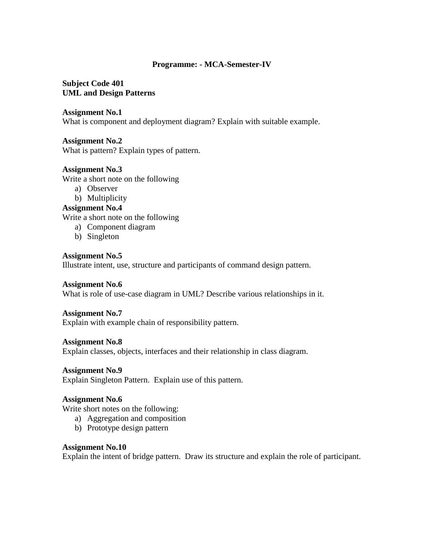## **Programme: - MCA-Semester-IV**

## **Subject Code 401 UML and Design Patterns**

## **Assignment No.1**

What is component and deployment diagram? Explain with suitable example.

## **Assignment No.2**

What is pattern? Explain types of pattern.

## **Assignment No.3**

Write a short note on the following

- a) Observer
- b) Multiplicity

## **Assignment No.4**

Write a short note on the following

- a) Component diagram
- b) Singleton

## **Assignment No.5**

Illustrate intent, use, structure and participants of command design pattern.

## **Assignment No.6**

What is role of use-case diagram in UML? Describe various relationships in it.

## **Assignment No.7**

Explain with example chain of responsibility pattern.

## **Assignment No.8**

Explain classes, objects, interfaces and their relationship in class diagram.

## **Assignment No.9**

Explain Singleton Pattern. Explain use of this pattern.

## **Assignment No.6**

Write short notes on the following:

- a) Aggregation and composition
- b) Prototype design pattern

#### **Assignment No.10**

Explain the intent of bridge pattern. Draw its structure and explain the role of participant.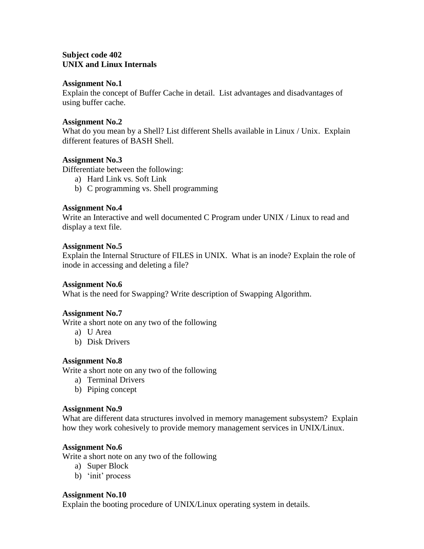## **Subject code 402 UNIX and Linux Internals**

#### **Assignment No.1**

Explain the concept of Buffer Cache in detail. List advantages and disadvantages of using buffer cache.

## **Assignment No.2**

What do you mean by a Shell? List different Shells available in Linux / Unix. Explain different features of BASH Shell.

## **Assignment No.3**

Differentiate between the following:

- a) Hard Link vs. Soft Link
- b) C programming vs. Shell programming

## **Assignment No.4**

Write an Interactive and well documented C Program under UNIX / Linux to read and display a text file.

#### **Assignment No.5**

Explain the Internal Structure of FILES in UNIX. What is an inode? Explain the role of inode in accessing and deleting a file?

## **Assignment No.6**

What is the need for Swapping? Write description of Swapping Algorithm.

## **Assignment No.7**

Write a short note on any two of the following

- a) U Area
- b) Disk Drivers

## **Assignment No.8**

Write a short note on any two of the following

- a) Terminal Drivers
- b) Piping concept

#### **Assignment No.9**

What are different data structures involved in memory management subsystem? Explain how they work cohesively to provide memory management services in UNIX/Linux.

## **Assignment No.6**

Write a short note on any two of the following

- a) Super Block
- b) 'init' process

#### **Assignment No.10**

Explain the booting procedure of UNIX/Linux operating system in details.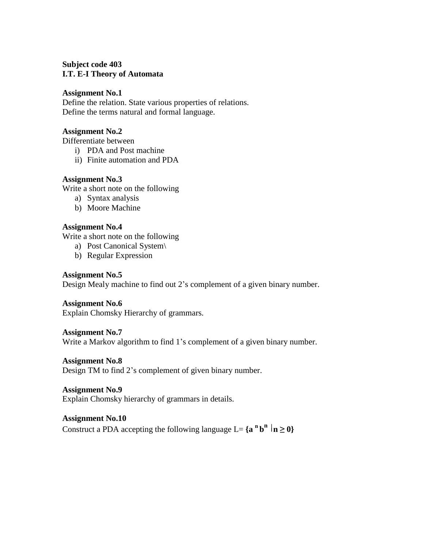## **Subject code 403 I.T. E-I Theory of Automata**

#### **Assignment No.1**

Define the relation. State various properties of relations. Define the terms natural and formal language.

#### **Assignment No.2**

Differentiate between

- i) PDA and Post machine
- ii) Finite automation and PDA

## **Assignment No.3**

Write a short note on the following

- a) Syntax analysis
- b) Moore Machine

## **Assignment No.4**

Write a short note on the following

- a) Post Canonical System\
- b) Regular Expression

## **Assignment No.5**

Design Mealy machine to find out 2"s complement of a given binary number.

# **Assignment No.6**

Explain Chomsky Hierarchy of grammars.

## **Assignment No.7**

Write a Markov algorithm to find 1's complement of a given binary number.

## **Assignment No.8**

Design TM to find 2"s complement of given binary number.

## **Assignment No.9**

Explain Chomsky hierarchy of grammars in details.

## **Assignment No.10**

Construct a PDA accepting the following language L=  $\{a^n b^n | n \ge 0\}$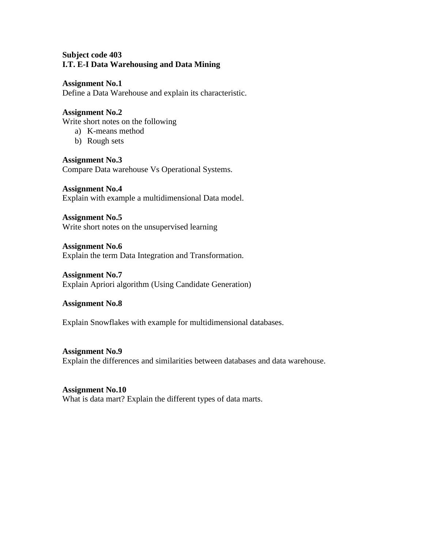## **Subject code 403 I.T. E-I Data Warehousing and Data Mining**

#### **Assignment No.1**

Define a Data Warehouse and explain its characteristic.

## **Assignment No.2**

Write short notes on the following

- a) K-means method
- b) Rough sets

**Assignment No.3**  Compare Data warehouse Vs Operational Systems.

**Assignment No.4** Explain with example a multidimensional Data model.

**Assignment No.5** Write short notes on the unsupervised learning

**Assignment No.6** Explain the term Data Integration and Transformation.

#### **Assignment No.7**

Explain Apriori algorithm (Using Candidate Generation)

## **Assignment No.8**

Explain Snowflakes with example for multidimensional databases.

#### **Assignment No.9**

Explain the differences and similarities between databases and data warehouse.

## **Assignment No.10**

What is data mart? Explain the different types of data marts.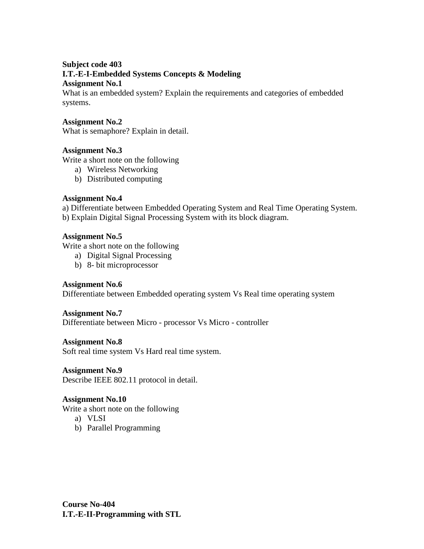## **Subject code 403 I.T.-E-I-Embedded Systems Concepts & Modeling Assignment No.1**

What is an embedded system? Explain the requirements and categories of embedded systems.

## **Assignment No.2**

What is semaphore? Explain in detail.

## **Assignment No.3**

Write a short note on the following

- a) Wireless Networking
- b) Distributed computing

## **Assignment No.4**

a) Differentiate between Embedded Operating System and Real Time Operating System. b) Explain Digital Signal Processing System with its block diagram.

## **Assignment No.5**

Write a short note on the following

- a) Digital Signal Processing
- b) 8- bit microprocessor

## **Assignment No.6**

Differentiate between Embedded operating system Vs Real time operating system

## **Assignment No.7**

Differentiate between Micro - processor Vs Micro - controller

## **Assignment No.8**

Soft real time system Vs Hard real time system.

## **Assignment No.9**

Describe IEEE 802.11 protocol in detail.

## **Assignment No.10**

Write a short note on the following

- a) VLSI
- b) Parallel Programming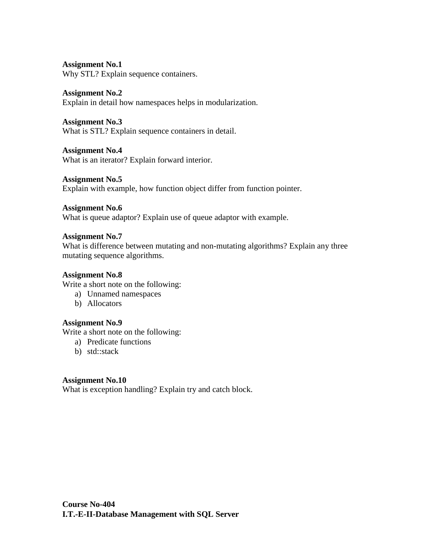Why STL? Explain sequence containers.

## **Assignment No.2**

Explain in detail how namespaces helps in modularization.

## **Assignment No.3**

What is STL? Explain sequence containers in detail.

## **Assignment No.4**

What is an iterator? Explain forward interior.

## **Assignment No.5**

Explain with example, how function object differ from function pointer.

## **Assignment No.6**

What is queue adaptor? Explain use of queue adaptor with example.

## **Assignment No.7**

What is difference between mutating and non-mutating algorithms? Explain any three mutating sequence algorithms.

## **Assignment No.8**

Write a short note on the following:

- a) Unnamed namespaces
- b) Allocators

## **Assignment No.9**

Write a short note on the following:

- a) Predicate functions
- b) std::stack

## **Assignment No.10**

What is exception handling? Explain try and catch block.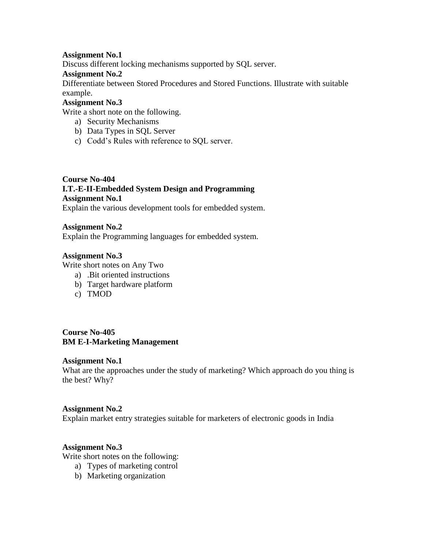Discuss different locking mechanisms supported by SQL server.

## **Assignment No.2**

Differentiate between Stored Procedures and Stored Functions. Illustrate with suitable example.

## **Assignment No.3**

Write a short note on the following.

- a) Security Mechanisms
- b) Data Types in SQL Server
- c) Codd"s Rules with reference to SQL server.

# **Course No-404 I.T.-E-II-Embedded System Design and Programming Assignment No.1**

Explain the various development tools for embedded system.

## **Assignment No.2**

Explain the Programming languages for embedded system.

## **Assignment No.3**

Write short notes on Any Two

- a) .Bit oriented instructions
- b) Target hardware platform
- c) TMOD

**Course No-405 BM E-I-Marketing Management**

## **Assignment No.1**

What are the approaches under the study of marketing? Which approach do you thing is the best? Why?

## **Assignment No.2**

Explain market entry strategies suitable for marketers of electronic goods in India

## **Assignment No.3**

Write short notes on the following:

- a) Types of marketing control
- b) Marketing organization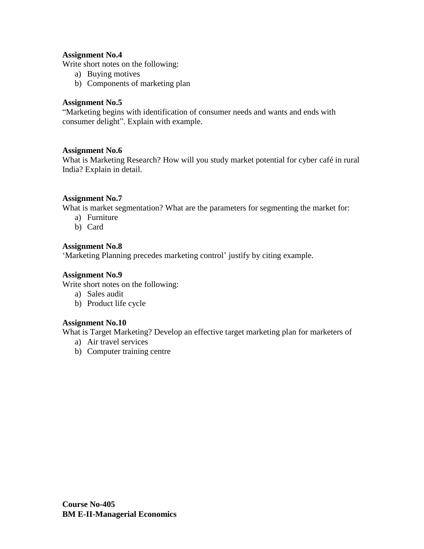Write short notes on the following:

- a) Buying motives
- b) Components of marketing plan

## **Assignment No.5**

"Marketing begins with identification of consumer needs and wants and ends with consumer delight". Explain with example.

## **Assignment No.6**

What is Marketing Research? How will you study market potential for cyber café in rural India? Explain in detail.

## **Assignment No.7**

What is market segmentation? What are the parameters for segmenting the market for:

- a) Furniture
- b) Card

# **Assignment No.8**

'Marketing Planning precedes marketing control' justify by citing example.

## **Assignment No.9**

Write short notes on the following:

- a) Sales audit
- b) Product life cycle

## **Assignment No.10**

What is Target Marketing? Develop an effective target marketing plan for marketers of

- a) Air travel services
- b) Computer training centre